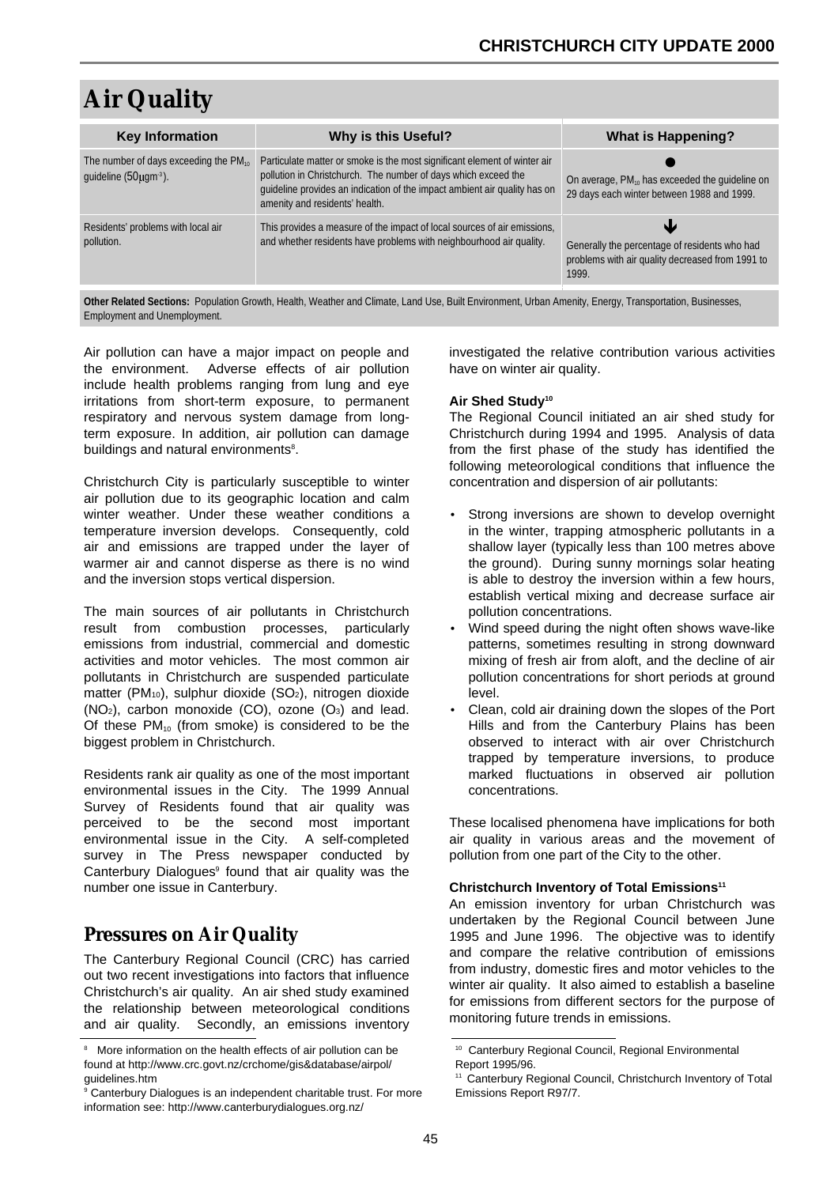# **Air Quality**

| <b>Key Information</b>                                                           | <b>Why is this Useful?</b>                                                                                                                                                                                                                                 | <b>What is Happening?</b>                                                                                  |  |  |
|----------------------------------------------------------------------------------|------------------------------------------------------------------------------------------------------------------------------------------------------------------------------------------------------------------------------------------------------------|------------------------------------------------------------------------------------------------------------|--|--|
| The number of days exceeding the PM <sub>10</sub><br>quideline $(50 \mu qm^3)$ . | Particulate matter or smoke is the most significant element of winter air<br>pollution in Christchurch. The number of days which exceed the<br>guideline provides an indication of the impact ambient air quality has on<br>amenity and residents' health. | On average, $PM_{10}$ has exceeded the quideline on<br>29 days each winter between 1988 and 1999.          |  |  |
| Residents' problems with local air<br>pollution.                                 | This provides a measure of the impact of local sources of air emissions,<br>and whether residents have problems with neighbourhood air quality.                                                                                                            | Generally the percentage of residents who had<br>problems with air quality decreased from 1991 to<br>1999. |  |  |

**Other Related Sections:** Population Growth, Health, Weather and Climate, Land Use, Built Environment, Urban Amenity, Energy, Transportation, Businesses, Employment and Unemployment.

Air pollution can have a major impact on people and the environment. Adverse effects of air pollution include health problems ranging from lung and eye irritations from short-term exposure, to permanent respiratory and nervous system damage from longterm exposure. In addition, air pollution can damage buildings and natural environments<sup>8</sup>.

Christchurch City is particularly susceptible to winter air pollution due to its geographic location and calm winter weather. Under these weather conditions a temperature inversion develops. Consequently, cold air and emissions are trapped under the layer of warmer air and cannot disperse as there is no wind and the inversion stops vertical dispersion.

The main sources of air pollutants in Christchurch result from combustion processes, particularly emissions from industrial, commercial and domestic activities and motor vehicles. The most common air pollutants in Christchurch are suspended particulate matter (PM<sub>10</sub>), sulphur dioxide (SO<sub>2</sub>), nitrogen dioxide  $(NO<sub>2</sub>)$ , carbon monoxide  $(CO)$ , ozone  $(O<sub>3</sub>)$  and lead. Of these  $PM_{10}$  (from smoke) is considered to be the biggest problem in Christchurch.

Residents rank air quality as one of the most important environmental issues in the City. The 1999 Annual Survey of Residents found that air quality was perceived to be the second most important environmental issue in the City. A self-completed survey in The Press newspaper conducted by Canterbury Dialogues<sup>9</sup> found that air quality was the number one issue in Canterbury.

# **Pressures on Air Quality**

The Canterbury Regional Council (CRC) has carried out two recent investigations into factors that influence Christchurch's air quality. An air shed study examined the relationship between meteorological conditions and air quality. Secondly, an emissions inventory

investigated the relative contribution various activities have on winter air quality.

### **Air Shed Study10**

The Regional Council initiated an air shed study for Christchurch during 1994 and 1995. Analysis of data from the first phase of the study has identified the following meteorological conditions that influence the concentration and dispersion of air pollutants:

- Strong inversions are shown to develop overnight in the winter, trapping atmospheric pollutants in a shallow layer (typically less than 100 metres above the ground). During sunny mornings solar heating is able to destroy the inversion within a few hours, establish vertical mixing and decrease surface air pollution concentrations.
- Wind speed during the night often shows wave-like patterns, sometimes resulting in strong downward mixing of fresh air from aloft, and the decline of air pollution concentrations for short periods at ground level.
- Clean, cold air draining down the slopes of the Port Hills and from the Canterbury Plains has been observed to interact with air over Christchurch trapped by temperature inversions, to produce marked fluctuations in observed air pollution concentrations.

These localised phenomena have implications for both air quality in various areas and the movement of pollution from one part of the City to the other.

### **Christchurch Inventory of Total Emissions11**

An emission inventory for urban Christchurch was undertaken by the Regional Council between June 1995 and June 1996. The objective was to identify and compare the relative contribution of emissions from industry, domestic fires and motor vehicles to the winter air quality. It also aimed to establish a baseline for emissions from different sectors for the purpose of monitoring future trends in emissions.

<sup>&</sup>lt;sup>8</sup> More information on the health effects of air pollution can be found at http://www.crc.govt.nz/crchome/gis&database/airpol/ guidelines.htm

<sup>&</sup>lt;sup>9</sup> [Canterbury Dialogues is an independent charitable trust. For more](http://www.canterburydialogues.org.nz/) information see: http://www.canterburydialogues.org.nz/

<sup>10</sup> Canterbury Regional Council, Regional Environmental Report 1995/96.

<sup>&</sup>lt;sup>11</sup> Canterbury Regional Council, Christchurch Inventory of Total Emissions Report R97/7.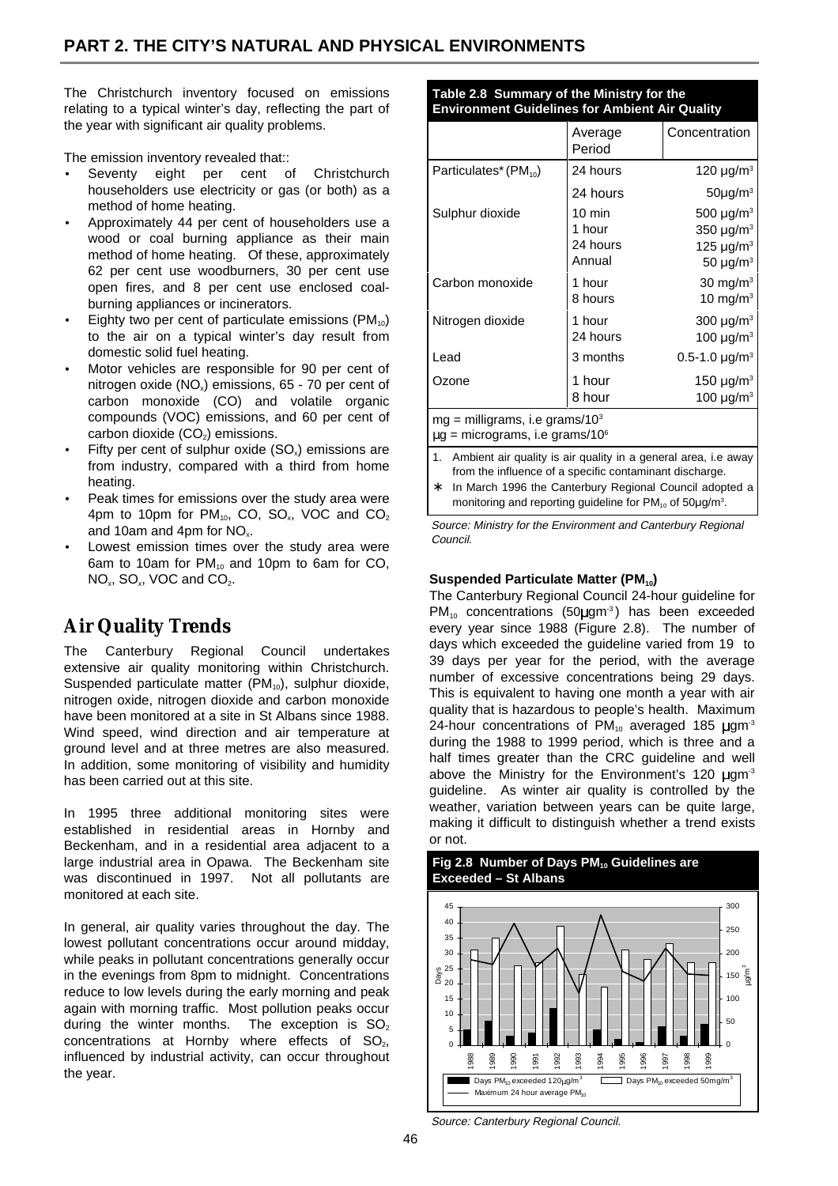The Christchurch inventory focused on emissions relating to a typical winter's day, reflecting the part of the year with significant air quality problems.

The emission inventory revealed that::

- Seventy eight per cent of Christchurch householders use electricity or gas (or both) as a method of home heating.
- Approximately 44 per cent of householders use a wood or coal burning appliance as their main method of home heating. Of these, approximately 62 per cent use woodburners, 30 per cent use open fires, and 8 per cent use enclosed coalburning appliances or incinerators.
- Eighty two per cent of particulate emissions  $(PM_{10})$ to the air on a typical winter's day result from domestic solid fuel heating.
- Motor vehicles are responsible for 90 per cent of nitrogen oxide  $(NO_x)$  emissions, 65 - 70 per cent of carbon monoxide (CO) and volatile organic compounds (VOC) emissions, and 60 per cent of carbon dioxide  $(CO<sub>2</sub>)$  emissions.
- Fifty per cent of sulphur oxide  $(SO_x)$  emissions are from industry, compared with a third from home heating.
- Peak times for emissions over the study area were 4pm to 10pm for  $PM_{10}$ , CO, SO<sub>x</sub>, VOC and CO<sub>2</sub> and 10am and 4pm for NO<sub>x</sub>.
- Lowest emission times over the study area were 6am to 10am for  $PM_{10}$  and 10pm to 6am for CO, NO<sub>x</sub>, SO<sub>x</sub>, VOC and CO<sub>2</sub>.

# **Air Quality Trends**

The Canterbury Regional Council undertakes extensive air quality monitoring within Christchurch. Suspended particulate matter  $(PM_{10})$ , sulphur dioxide, nitrogen oxide, nitrogen dioxide and carbon monoxide have been monitored at a site in St Albans since 1988. Wind speed, wind direction and air temperature at ground level and at three metres are also measured. In addition, some monitoring of visibility and humidity has been carried out at this site.

In 1995 three additional monitoring sites were established in residential areas in Hornby and Beckenham, and in a residential area adjacent to a large industrial area in Opawa. The Beckenham site was discontinued in 1997. Not all pollutants are monitored at each site.

In general, air quality varies throughout the day. The lowest pollutant concentrations occur around midday, while peaks in pollutant concentrations generally occur in the evenings from 8pm to midnight. Concentrations reduce to low levels during the early morning and peak again with morning traffic. Most pollution peaks occur during the winter months. The exception is  $SO<sub>2</sub>$ concentrations at Hornby where effects of  $SO<sub>2</sub>$ , influenced by industrial activity, can occur throughout the year.

**Table 2.8 Summary of the Ministry for the Environment Guidelines for Ambient Air Quality**

|                                                                                                  | Average<br>Period                      | Concentration                                                                                                       |  |  |  |
|--------------------------------------------------------------------------------------------------|----------------------------------------|---------------------------------------------------------------------------------------------------------------------|--|--|--|
| Particulates* (PM <sub>10</sub> )                                                                | 24 hours                               | 120 $\mu$ g/m <sup>3</sup>                                                                                          |  |  |  |
|                                                                                                  | 24 hours                               | $50\mu$ g/m <sup>3</sup>                                                                                            |  |  |  |
| Sulphur dioxide                                                                                  | 10 min<br>1 hour<br>24 hours<br>Annual | 500 $\mu$ g/m <sup>3</sup><br>350 $\mu$ g/m <sup>3</sup><br>125 $\mu$ g/m <sup>3</sup><br>50 $\mu$ g/m <sup>3</sup> |  |  |  |
| Carbon monoxide                                                                                  | 1 hour<br>8 hours                      | $30 \text{ mg/m}^3$<br>10 mg/m $3$                                                                                  |  |  |  |
| Nitrogen dioxide                                                                                 | 1 hour<br>24 hours                     | 300 $\mu$ g/m <sup>3</sup><br>100 $\mu$ g/m <sup>3</sup>                                                            |  |  |  |
| Lead                                                                                             | 3 months                               | 0.5-1.0 $\mu$ g/m <sup>3</sup>                                                                                      |  |  |  |
| Ozone                                                                                            | 1 hour<br>8 hour                       | 150 $\mu$ g/m <sup>3</sup><br>100 $\mu$ g/m <sup>3</sup>                                                            |  |  |  |
| $mg =$ milligrams, i.e grams/10 <sup>3</sup><br>$\mu$ g = micrograms, i.e grams/10 $\textdegree$ |                                        |                                                                                                                     |  |  |  |

- Ambient air quality is air quality in a general area, i.e away from the influence of a specific contaminant discharge. In March 1996 the Canterbury Regional Council adopted a
- monitoring and reporting guideline for PM<sub>10</sub> of 50µg/m<sup>3</sup>.

Source: Ministry for the Environment and Canterbury Regional Council.

### **Suspended Particulate Matter (PM<sub>10</sub>)**

The Canterbury Regional Council 24-hour guideline for  $PM_{10}$  concentrations (50 $\mu$ gm<sup>-3</sup>) has been exceeded every year since 1988 (Figure 2.8). The number of days which exceeded the guideline varied from 19 to 39 days per year for the period, with the average number of excessive concentrations being 29 days. This is equivalent to having one month a year with air quality that is hazardous to people's health. Maximum 24-hour concentrations of  $PM_{10}$  averaged 185  $\mu$ gm<sup>3</sup> during the 1988 to 1999 period, which is three and a half times greater than the CRC guideline and well above the Ministry for the Environment's 120  $\mu$ gm<sup>-3</sup> guideline. As winter air quality is controlled by the weather, variation between years can be quite large, making it difficult to distinguish whether a trend exists or not.



Source: Canterbury Regional Council.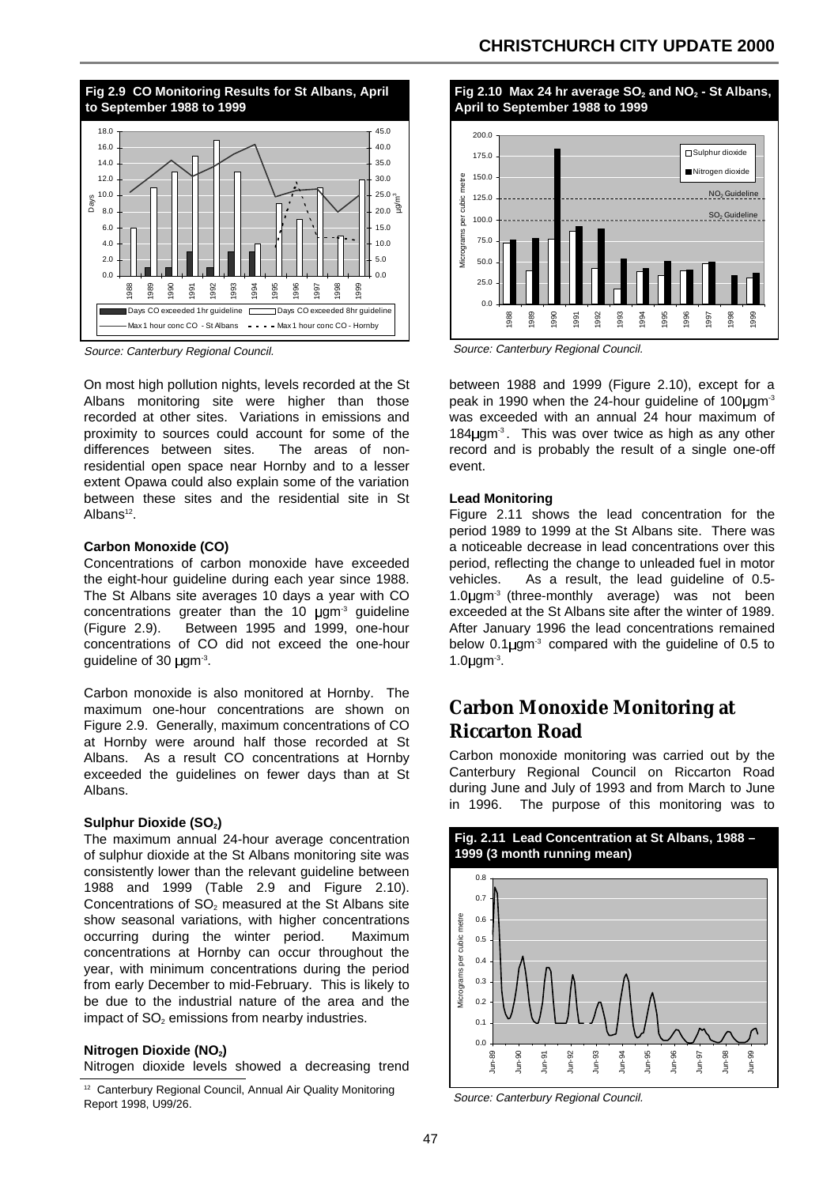### **CHRISTCHURCH CITY UPDATE 2000**



Source: Canterbury Regional Council.

On most high pollution nights, levels recorded at the St Albans monitoring site were higher than those recorded at other sites. Variations in emissions and proximity to sources could account for some of the differences between sites. The areas of nonresidential open space near Hornby and to a lesser extent Opawa could also explain some of the variation between these sites and the residential site in St Albans<sup>12</sup>.

#### **Carbon Monoxide (CO)**

Concentrations of carbon monoxide have exceeded the eight-hour guideline during each year since 1988. The St Albans site averages 10 days a year with CO concentrations greater than the 10  $\mu$ gm<sup>-3</sup> guideline (Figure 2.9). Between 1995 and 1999, one-hour concentrations of CO did not exceed the one-hour quideline of 30  $\mu$ qm<sup>-3</sup>.

Carbon monoxide is also monitored at Hornby. The maximum one-hour concentrations are shown on Figure 2.9. Generally, maximum concentrations of CO at Hornby were around half those recorded at St Albans. As a result CO concentrations at Hornby exceeded the guidelines on fewer days than at St Albans.

#### **Sulphur Dioxide (SO<sub>2</sub>)**

The maximum annual 24-hour average concentration of sulphur dioxide at the St Albans monitoring site was consistently lower than the relevant guideline between 1988 and 1999 (Table 2.9 and Figure 2.10). Concentrations of  $SO<sub>2</sub>$  measured at the St Albans site show seasonal variations, with higher concentrations occurring during the winter period. Maximum concentrations at Hornby can occur throughout the year, with minimum concentrations during the period from early December to mid-February. This is likely to be due to the industrial nature of the area and the impact of  $SO<sub>2</sub>$  emissions from nearby industries.

#### **Nitrogen Dioxide (NO2)**

Nitrogen dioxide levels showed a decreasing trend



Source: Canterbury Regional Council.

between 1988 and 1999 (Figure 2.10), except for a peak in 1990 when the 24-hour guideline of 100 $\mu$ gm<sup>-3</sup> was exceeded with an annual 24 hour maximum of  $184 \mu$ gm<sup>-3</sup>. This was over twice as high as any other record and is probably the result of a single one-off event.

#### **Lead Monitoring**

Figure 2.11 shows the lead concentration for the period 1989 to 1999 at the St Albans site. There was a noticeable decrease in lead concentrations over this period, reflecting the change to unleaded fuel in motor vehicles. As a result, the lead guideline of 0.5- 1.0 $\mu$ gm<sup>-3</sup> (three-monthly average) was not been exceeded at the St Albans site after the winter of 1989. After January 1996 the lead concentrations remained below  $0.1 \mu$ gm<sup>-3</sup> compared with the guideline of 0.5 to  $1.0$  $\mu$ gm $^{-3}$ .

# **Carbon Monoxide Monitoring at Riccarton Road**

Carbon monoxide monitoring was carried out by the Canterbury Regional Council on Riccarton Road during June and July of 1993 and from March to June in 1996. The purpose of this monitoring was to



Source: Canterbury Regional Council.

<sup>&</sup>lt;sup>12</sup> Canterbury Regional Council, Annual Air Quality Monitoring Report 1998, U99/26.